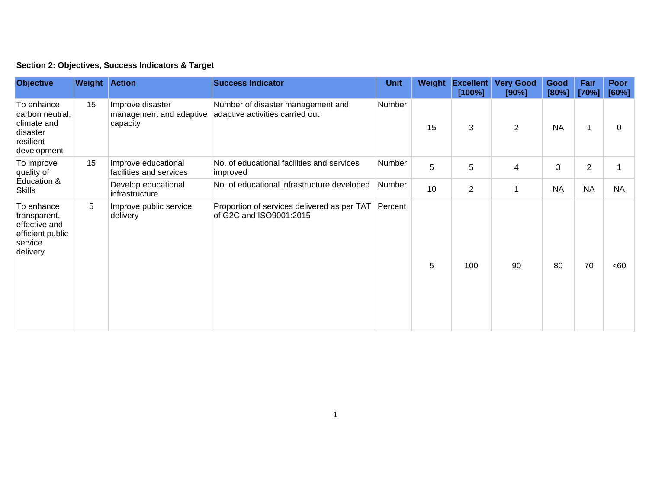## **Section 2: Objectives, Success Indicators & Target**

| <b>Objective</b>                                                                       | <b>Weight Action</b> |                                                         | <b>Success Indicator</b>                                               | <b>Unit</b> | Weight | <b>Excellent</b><br>[100%] | <b>Very Good</b><br>[90%] | Good<br>[80%] | Fair<br>[70%]  | Poor<br>[60%] |
|----------------------------------------------------------------------------------------|----------------------|---------------------------------------------------------|------------------------------------------------------------------------|-------------|--------|----------------------------|---------------------------|---------------|----------------|---------------|
| To enhance<br>carbon neutral,<br>climate and<br>disaster<br>resilient<br>development   | 15                   | Improve disaster<br>management and adaptive<br>capacity | Number of disaster management and<br>adaptive activities carried out   | Number      | 15     | 3                          | $\overline{2}$            | <b>NA</b>     | 1              | 0             |
| To improve<br>quality of<br>Education &<br><b>Skills</b>                               | 15                   | Improve educational<br>facilities and services          | No. of educational facilities and services<br>improved                 | Number      | 5      | 5                          | 4                         | 3             | $\overline{2}$ |               |
|                                                                                        |                      | Develop educational<br>infrastructure                   | No. of educational infrastructure developed                            | Number      | 10     | $\overline{2}$             | -1                        | <b>NA</b>     | <b>NA</b>      | <b>NA</b>     |
| To enhance<br>transparent,<br>effective and<br>efficient public<br>service<br>delivery | 5                    | Improve public service<br>delivery                      | Proportion of services delivered as per TAT<br>of G2C and ISO9001:2015 | Percent     | 5      | 100                        | 90                        | 80            | 70             | <60           |